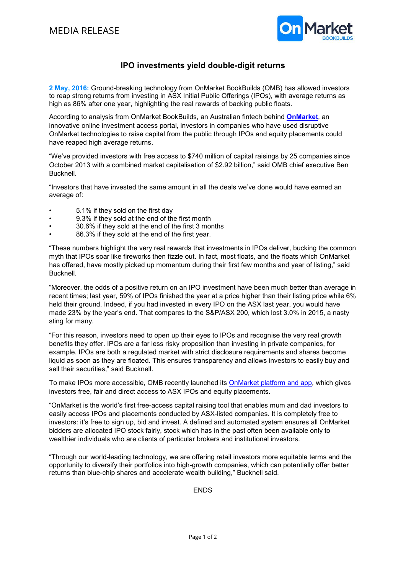

## IPO investments yield double-digit returns

2 May, 2016: Ground-breaking technology from OnMarket BookBuilds (OMB) has allowed investors to reap strong returns from investing in ASX Initial Public Offerings (IPOs), with average returns as high as 86% after one year, highlighting the real rewards of backing public floats.

According to analysis from OnMarket BookBuilds, an Australian fintech behind OnMarket, an innovative online investment access portal, investors in companies who have used disruptive OnMarket technologies to raise capital from the public through IPOs and equity placements could have reaped high average returns.

"We've provided investors with free access to \$740 million of capital raisings by 25 companies since October 2013 with a combined market capitalisation of \$2.92 billion," said OMB chief executive Ben Bucknell.

"Investors that have invested the same amount in all the deals we've done would have earned an average of:

- 5.1% if they sold on the first day
- 9.3% if they sold at the end of the first month
- 30.6% if they sold at the end of the first 3 months
- 86.3% if they sold at the end of the first year.

"These numbers highlight the very real rewards that investments in IPOs deliver, bucking the common myth that IPOs soar like fireworks then fizzle out. In fact, most floats, and the floats which OnMarket has offered, have mostly picked up momentum during their first few months and year of listing," said Bucknell.

"Moreover, the odds of a positive return on an IPO investment have been much better than average in recent times; last year, 59% of IPOs finished the year at a price higher than their listing price while 6% held their ground. Indeed, if you had invested in every IPO on the ASX last year, you would have made 23% by the year's end. That compares to the S&P/ASX 200, which lost 3.0% in 2015, a nasty sting for many.

"For this reason, investors need to open up their eyes to IPOs and recognise the very real growth benefits they offer. IPOs are a far less risky proposition than investing in private companies, for example. IPOs are both a regulated market with strict disclosure requirements and shares become liquid as soon as they are floated. This ensures transparency and allows investors to easily buy and sell their securities," said Bucknell.

To make IPOs more accessible, OMB recently launched its OnMarket platform and app, which gives investors free, fair and direct access to ASX IPOs and equity placements.

"OnMarket is the world's first free-access capital raising tool that enables mum and dad investors to easily access IPOs and placements conducted by ASX-listed companies. It is completely free to investors: it's free to sign up, bid and invest. A defined and automated system ensures all OnMarket bidders are allocated IPO stock fairly, stock which has in the past often been available only to wealthier individuals who are clients of particular brokers and institutional investors.

"Through our world-leading technology, we are offering retail investors more equitable terms and the opportunity to diversify their portfolios into high-growth companies, which can potentially offer better returns than blue-chip shares and accelerate wealth building," Bucknell said.

ENDS